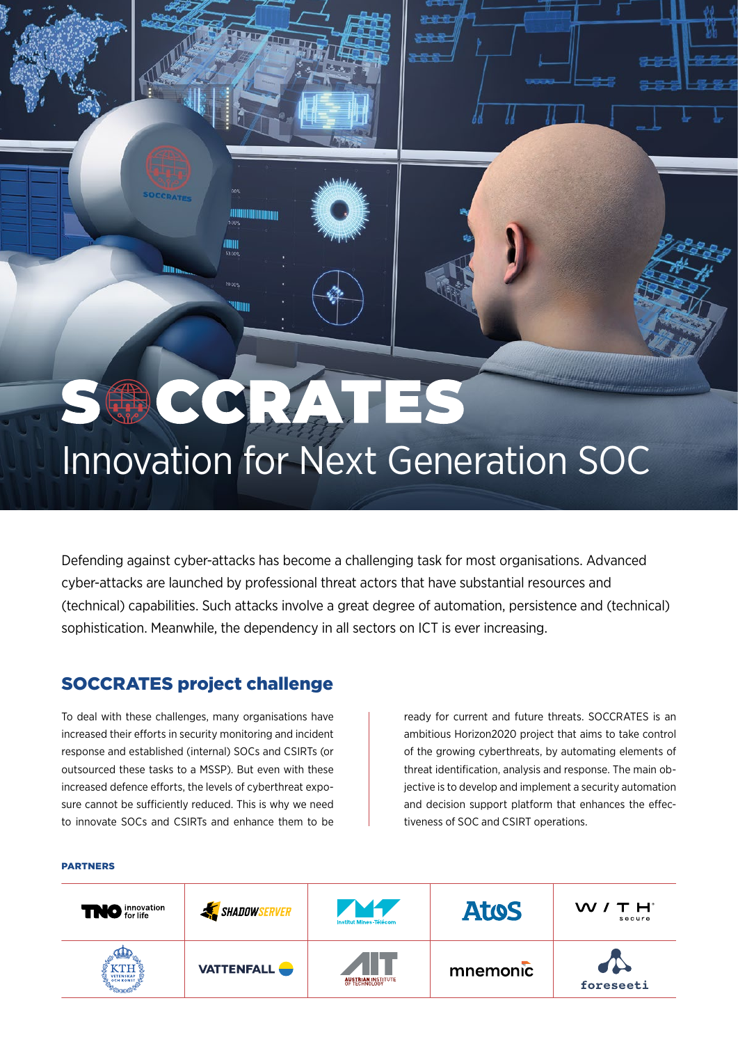# SOCCRATES Innovation for Next Generation SOC

Defending against cyber-attacks has become a challenging task for most organisations. Advanced cyber-attacks are launched by professional threat actors that have substantial resources and (technical) capabilities. Such attacks involve a great degree of automation, persistence and (technical) sophistication. Meanwhile, the dependency in all sectors on ICT is ever increasing.

### SOCCRATES project challenge

To deal with these challenges, many organisations have increased their efforts in security monitoring and incident response and established (internal) SOCs and CSIRTs (or outsourced these tasks to a MSSP). But even with these increased defence efforts, the levels of cyberthreat exposure cannot be sufficiently reduced. This is why we need to innovate SOCs and CSIRTs and enhance them to be

ready for current and future threats. SOCCRATES is an ambitious Horizon2020 project that aims to take control of the growing cyberthreats, by automating elements of threat identification, analysis and response. The main objective is to develop and implement a security automation and decision support platform that enhances the effectiveness of SOC and CSIRT operations.

#### PARTNERS